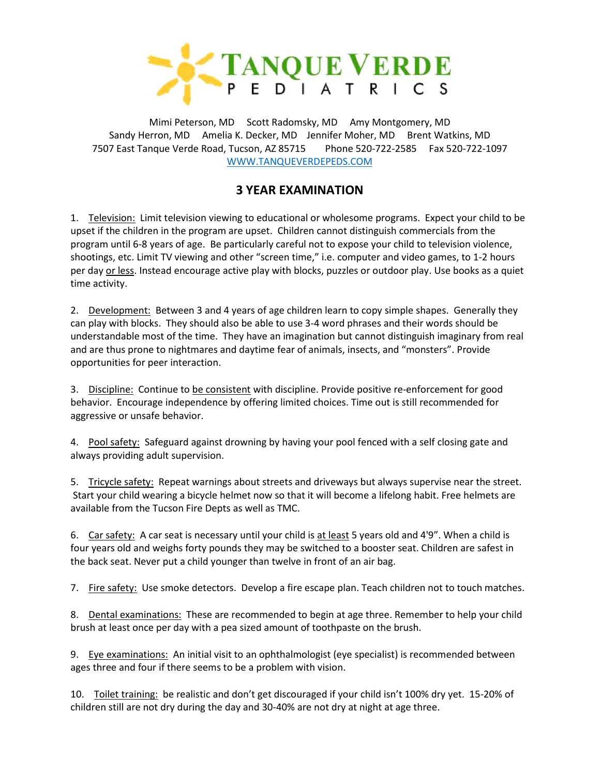

Mimi Peterson, MD Scott Radomsky, MD Amy Montgomery, MD Sandy Herron, MD Amelia K. Decker, MD Jennifer Moher, MD Brent Watkins, MD 7507 East Tanque Verde Road, Tucson, AZ 85715 Phone 520-722-2585 Fax 520-722-1097 [WWW.TANQUEVERDEPEDS.COM](http://www.tanqueverdepeds.com/)

# **3 YEAR EXAMINATION**

1. Television: Limit television viewing to educational or wholesome programs. Expect your child to be upset if the children in the program are upset. Children cannot distinguish commercials from the program until 6-8 years of age. Be particularly careful not to expose your child to television violence, shootings, etc. Limit TV viewing and other "screen time," i.e. computer and video games, to 1-2 hours per day or less. Instead encourage active play with blocks, puzzles or outdoor play. Use books as a quiet time activity.

2. Development: Between 3 and 4 years of age children learn to copy simple shapes. Generally they can play with blocks. They should also be able to use 3-4 word phrases and their words should be understandable most of the time. They have an imagination but cannot distinguish imaginary from real and are thus prone to nightmares and daytime fear of animals, insects, and "monsters". Provide opportunities for peer interaction.

3. Discipline: Continue to be consistent with discipline. Provide positive re-enforcement for good behavior. Encourage independence by offering limited choices. Time out is still recommended for aggressive or unsafe behavior.

4. Pool safety: Safeguard against drowning by having your pool fenced with a self closing gate and always providing adult supervision.

5. Tricycle safety: Repeat warnings about streets and driveways but always supervise near the street. Start your child wearing a bicycle helmet now so that it will become a lifelong habit. Free helmets are available from the Tucson Fire Depts as well as TMC.

6. Car safety: A car seat is necessary until your child is at least 5 years old and 4'9". When a child is four years old and weighs forty pounds they may be switched to a booster seat. Children are safest in the back seat. Never put a child younger than twelve in front of an air bag.

7. Fire safety: Use smoke detectors. Develop a fire escape plan. Teach children not to touch matches.

8. Dental examinations: These are recommended to begin at age three. Remember to help your child brush at least once per day with a pea sized amount of toothpaste on the brush.

9. Eye examinations: An initial visit to an ophthalmologist (eye specialist) is recommended between ages three and four if there seems to be a problem with vision.

10. Toilet training: be realistic and don't get discouraged if your child isn't 100% dry yet. 15-20% of children still are not dry during the day and 30-40% are not dry at night at age three.